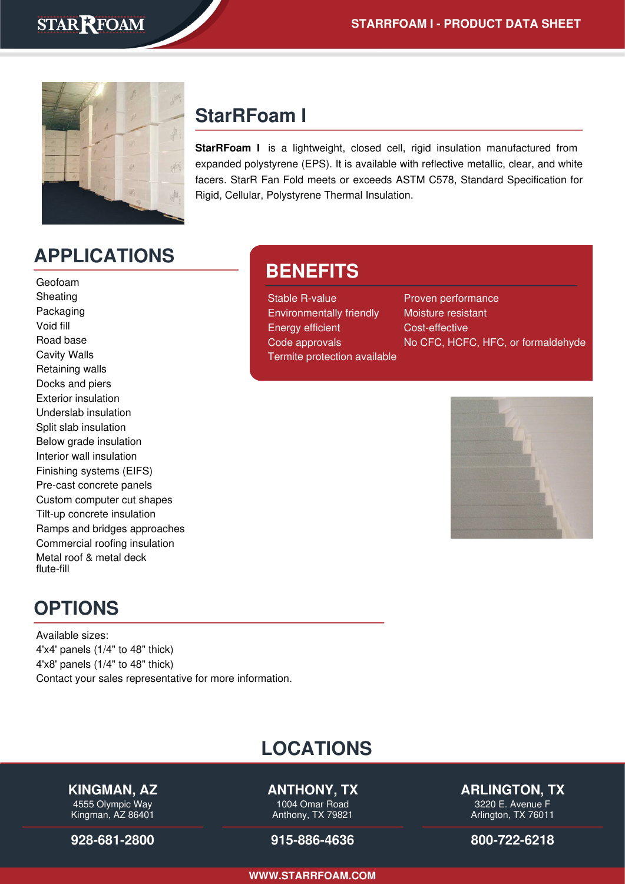

## **StarRFoam I**

**BENEFITS**

Termite protection available

**StarRFoam I** is a lightweight, closed cell, rigid insulation manufactured from expanded polystyrene (EPS). It is available with reflective metallic, clear, and white facers. StarR Fan Fold meets or exceeds ASTM C578, Standard Specification for Rigid, Cellular, Polystyrene Thermal Insulation.

> Stable R-value Proven performance Environmentally friendly Moisture resistant Energy efficient Cost-effective

Code approvals No CFC, HCFC, HFC, or formaldehyde

# **APPLICATIONS**

Geofoam Sheating Packaging Void fill Road base Cavity Walls Retaining walls Docks and piers Exterior insulation Underslab insulation Split slab insulation Below grade insulation Interior wall insulation Finishing systems (EIFS) Pre-cast concrete panels Custom computer cut shapes Tilt-up concrete insulation Ramps and bridges approaches Commercial roofing insulation Metal roof & metal deck flute-fill

## **OPTIONS**

Available sizes: 4'x4' panels (1/4" to 48" thick) 4'x8' panels (1/4" to 48" thick) Contact your sales representative for more information.

## **LOCATIONS**

### **KINGMAN, AZ**

4555 Olympic Way Kingman, AZ 86401

**[928-681-2800](tel:928-681-2800)**

### **ANTHONY, TX**

1004 Omar Road Anthony, TX 79821

#### **[915-886-4636](tel:915-886-4636)**

**ARLINGTON, TX**

3220 E. Avenue F Arlington, TX 76011

**[800-722-6218](tel:800-722-6218)**

**[WWW.STARRFOAM.COM](https://starrfoam.com/)**